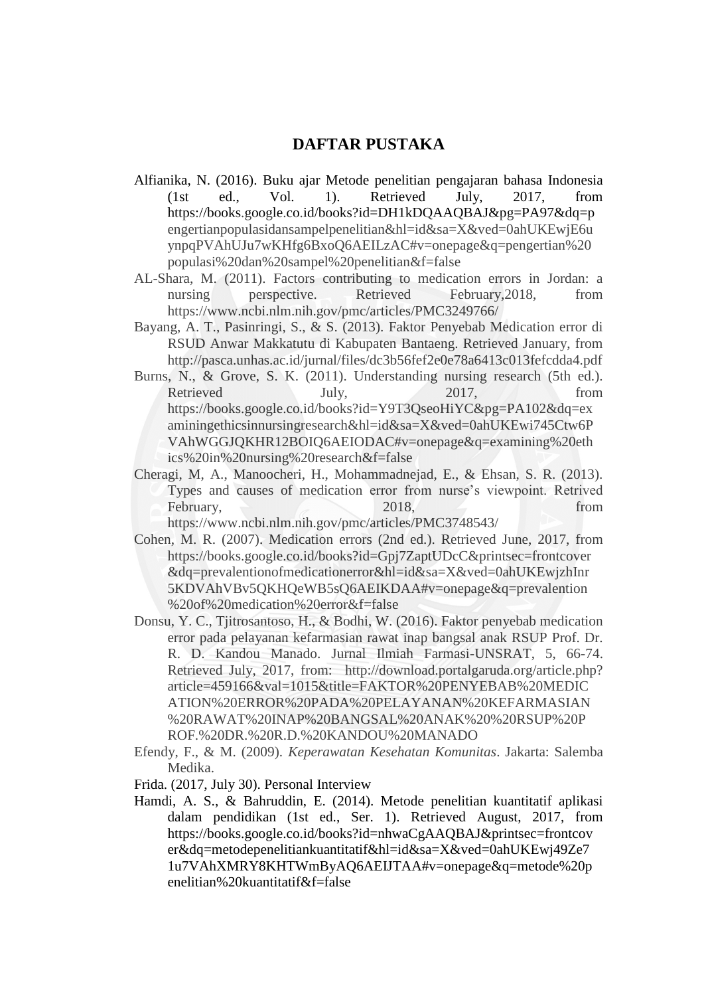## **DAFTAR PUSTAKA**

- Alfianika, N. (2016). Buku ajar Metode penelitian pengajaran bahasa Indonesia (1st ed., Vol. 1). Retrieved July, 2017, from https://books.google.co.id/books?id=DH1kDQAAQBAJ&pg=PA97&dq=p engertianpopulasidansampelpenelitian&hl=id&sa=X&ved=0ahUKEwjE6u ynpqPVAhUJu7wKHfg6BxoQ6AEILzAC#v=onepage&q=pengertian%20 populasi%20dan%20sampel%20penelitian&f=false
- AL-Shara, M. (2011). Factors contributing to medication errors in Jordan: a nursing perspective. Retrieved February, 2018, from https://www.ncbi.nlm.nih.gov/pmc/articles/PMC3249766/
- Bayang, A. T., Pasinringi, S., & S. (2013). Faktor Penyebab Medication error di RSUD Anwar Makkatutu di Kabupaten Bantaeng. Retrieved January, from http://pasca.unhas.ac.id/jurnal/files/dc3b56fef2e0e78a6413c013fefcdda4.pdf
- Burns, N., & Grove, S. K. (2011). Understanding nursing research (5th ed.). Retrieved July, 2017, from https://books.google.co.id/books?id=Y9T3QseoHiYC&pg=PA102&dq=ex aminingethicsinnursingresearch&hl=id&sa=X&ved=0ahUKEwi745Ctw6P VAhWGGJQKHR12BOIQ6AEIODAC#v=onepage&q=examining%20eth ics%20in%20nursing%20research&f=false
- Cheragi, M, A., Manoocheri, H., Mohammadnejad, E., & Ehsan, S. R. (2013). Types and causes of medication error from nurse's viewpoint. Retrived February, 2018, from the contract of the contract of the contract of the contract of the contract of the contract of the contract of the contract of the contract of the contract of the contract of the contract of the contr https://www.ncbi.nlm.nih.gov/pmc/articles/PMC3748543/
- Cohen, M. R. (2007). Medication errors (2nd ed.). Retrieved June, 2017, from https://books.google.co.id/books?id=Gpj7ZaptUDcC&printsec=frontcover &dq=prevalentionofmedicationerror&hl=id&sa=X&ved=0ahUKEwjzhInr 5KDVAhVBv5QKHQeWB5sQ6AEIKDAA#v=onepage&q=prevalention %20of%20medication%20error&f=false
- Donsu, Y. C., Tjitrosantoso, H., & Bodhi, W. (2016). Faktor penyebab medication error pada pelayanan kefarmasian rawat inap bangsal anak RSUP Prof. Dr. R. D. Kandou Manado. Jurnal Ilmiah Farmasi-UNSRAT, 5, 66-74. Retrieved July, 2017, from: http://download.portalgaruda.org/article.php? article=459166&val=1015&title=FAKTOR%20PENYEBAB%20MEDIC ATION%20ERROR%20PADA%20PELAYANAN%20KEFARMASIAN %20RAWAT%20INAP%20BANGSAL%20ANAK%20%20RSUP%20P ROF.%20DR.%20R.D.%20KANDOU%20MANADO
- Efendy, F., & M. (2009). *Keperawatan Kesehatan Komunitas*. Jakarta: Salemba Medika.
- Frida. (2017, July 30). Personal Interview
- Hamdi, A. S., & Bahruddin, E. (2014). Metode penelitian kuantitatif aplikasi dalam pendidikan (1st ed., Ser. 1). Retrieved August, 2017, from https://books.google.co.id/books?id=nhwaCgAAQBAJ&printsec=frontcov er&dq=metodepenelitiankuantitatif&hl=id&sa=X&ved=0ahUKEwj49Ze7 1u7VAhXMRY8KHTWmByAQ6AEIJTAA#v=onepage&q=metode%20p enelitian%20kuantitatif&f=false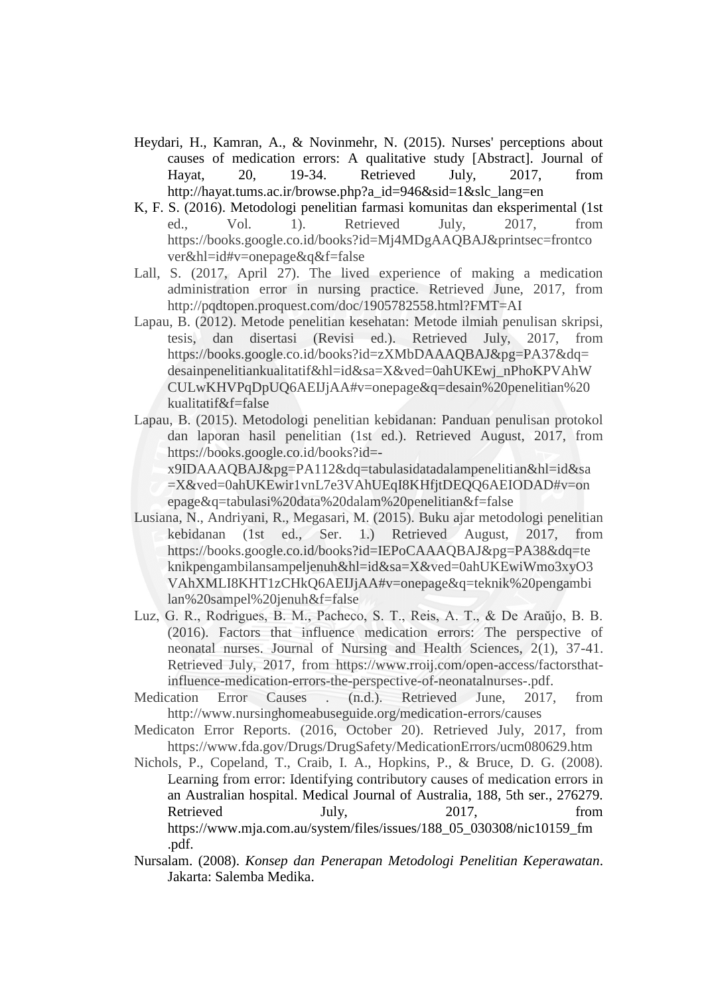- Heydari, H., Kamran, A., & Novinmehr, N. (2015). Nurses' perceptions about causes of medication errors: A qualitative study [Abstract]. Journal of Hayat, 20, 19-34. Retrieved July, 2017, from http://hayat.tums.ac.ir/browse.php?a\_id=946&sid=1&slc\_lang=en
- K, F. S. (2016). Metodologi penelitian farmasi komunitas dan eksperimental (1st ed., Vol. 1). Retrieved July, 2017, from https://books.google.co.id/books?id=Mj4MDgAAQBAJ&printsec=frontco ver&hl=id#v=onepage&q&f=false
- Lall, S. (2017, April 27). The lived experience of making a medication administration error in nursing practice. Retrieved June, 2017, from http://pqdtopen.proquest.com/doc/1905782558.html?FMT=AI
- Lapau, B. (2012). Metode penelitian kesehatan: Metode ilmiah penulisan skripsi, tesis, dan disertasi (Revisi ed.). Retrieved July, 2017, from https://books.google.co.id/books?id=zXMbDAAAQBAJ&pg=PA37&dq= desainpenelitiankualitatif&hl=id&sa=X&ved=0ahUKEwj\_nPhoKPVAhW CULwKHVPqDpUQ6AEIJjAA#v=onepage&q=desain%20penelitian%20 kualitatif&f=false
- Lapau, B. (2015). Metodologi penelitian kebidanan: Panduan penulisan protokol dan laporan hasil penelitian (1st ed.). Retrieved August, 2017, from https://books.google.co.id/books?id=
	- x9IDAAAQBAJ&pg=PA112&dq=tabulasidatadalampenelitian&hl=id&sa =X&ved=0ahUKEwir1vnL7e3VAhUEqI8KHfjtDEQQ6AEIODAD#v=on epage&q=tabulasi%20data%20dalam%20penelitian&f=false
- Lusiana, N., Andriyani, R., Megasari, M. (2015). Buku ajar metodologi penelitian kebidanan (1st ed., Ser. 1.) Retrieved August, 2017, from https://books.google.co.id/books?id=IEPoCAAAQBAJ&pg=PA38&dq=te knikpengambilansampeljenuh&hl=id&sa=X&ved=0ahUKEwiWmo3xyO3 VAhXMLI8KHT1zCHkQ6AEIJjAA#v=onepage&q=teknik%20pengambi lan%20sampel%20jenuh&f=false
- Luz, G. R., Rodrigues, B. M., Pacheco, S. T., Reis, A. T., & De Araŭjo, B. B. (2016). Factors that influence medication errors: The perspective of neonatal nurses. Journal of Nursing and Health Sciences, 2(1), 37-41. Retrieved July, 2017, from https://www.rroij.com/open-access/factorsthatinfluence-medication-errors-the-perspective-of-neonatalnurses-.pdf.
- Medication Error Causes . (n.d.). Retrieved June, 2017, from http://www.nursinghomeabuseguide.org/medication-errors/causes
- Medicaton Error Reports. (2016, October 20). Retrieved July, 2017, from https://www.fda.gov/Drugs/DrugSafety/MedicationErrors/ucm080629.htm
- Nichols, P., Copeland, T., Craib, I. A., Hopkins, P., & Bruce, D. G. (2008). Learning from error: Identifying contributory causes of medication errors in an Australian hospital. Medical Journal of Australia, 188, 5th ser., 276279. Retrieved July, 2017, from https://www.mja.com.au/system/files/issues/188\_05\_030308/nic10159\_fm .pdf.
- Nursalam. (2008). *Konsep dan Penerapan Metodologi Penelitian Keperawatan*. Jakarta: Salemba Medika.